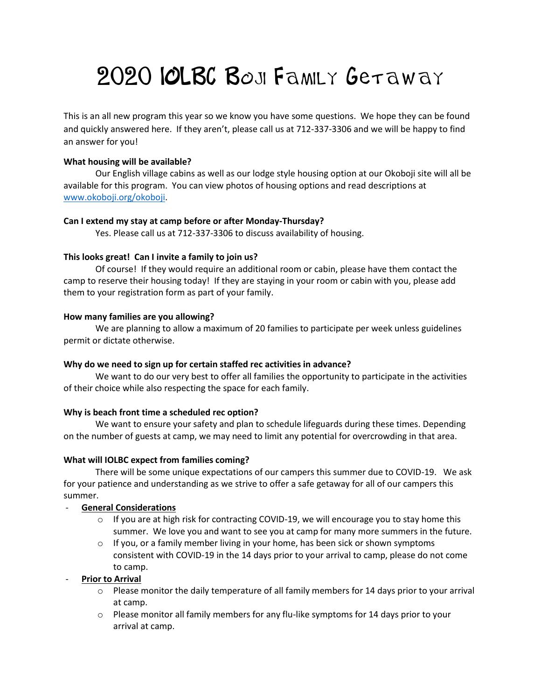# 2020 IOLBC BOJI FAMILY GETAWAY

This is an all new program this year so we know you have some questions. We hope they can be found and quickly answered here. If they aren't, please call us at 712-337-3306 and we will be happy to find an answer for you!

# **What housing will be available?**

Our English village cabins as well as our lodge style housing option at our Okoboji site will all be available for this program. You can view photos of housing options and read descriptions at [www.okoboji.org/okoboji.](http://www.okoboji.org/okoboji)

# **Can I extend my stay at camp before or after Monday-Thursday?**

Yes. Please call us at 712-337-3306 to discuss availability of housing.

# **This looks great! Can I invite a family to join us?**

Of course! If they would require an additional room or cabin, please have them contact the camp to reserve their housing today! If they are staying in your room or cabin with you, please add them to your registration form as part of your family.

# **How many families are you allowing?**

We are planning to allow a maximum of 20 families to participate per week unless guidelines permit or dictate otherwise.

## **Why do we need to sign up for certain staffed rec activities in advance?**

We want to do our very best to offer all families the opportunity to participate in the activities of their choice while also respecting the space for each family.

## **Why is beach front time a scheduled rec option?**

We want to ensure your safety and plan to schedule lifeguards during these times. Depending on the number of guests at camp, we may need to limit any potential for overcrowding in that area.

# **What will IOLBC expect from families coming?**

There will be some unique expectations of our campers this summer due to COVID-19. We ask for your patience and understanding as we strive to offer a safe getaway for all of our campers this summer.

# - **General Considerations**

- $\circ$  If you are at high risk for contracting COVID-19, we will encourage you to stay home this summer. We love you and want to see you at camp for many more summers in the future.
- $\circ$  If you, or a family member living in your home, has been sick or shown symptoms consistent with COVID-19 in the 14 days prior to your arrival to camp, please do not come to camp.

## **Prior to Arrival**

- $\circ$  Please monitor the daily temperature of all family members for 14 days prior to your arrival at camp.
- $\circ$  Please monitor all family members for any flu-like symptoms for 14 days prior to your arrival at camp.